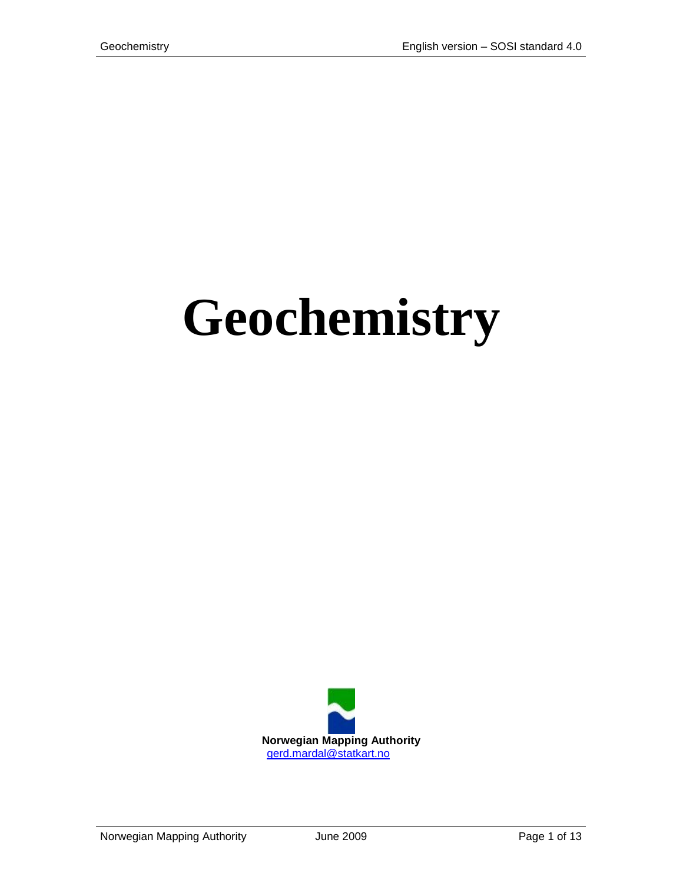# **Geochemistry**

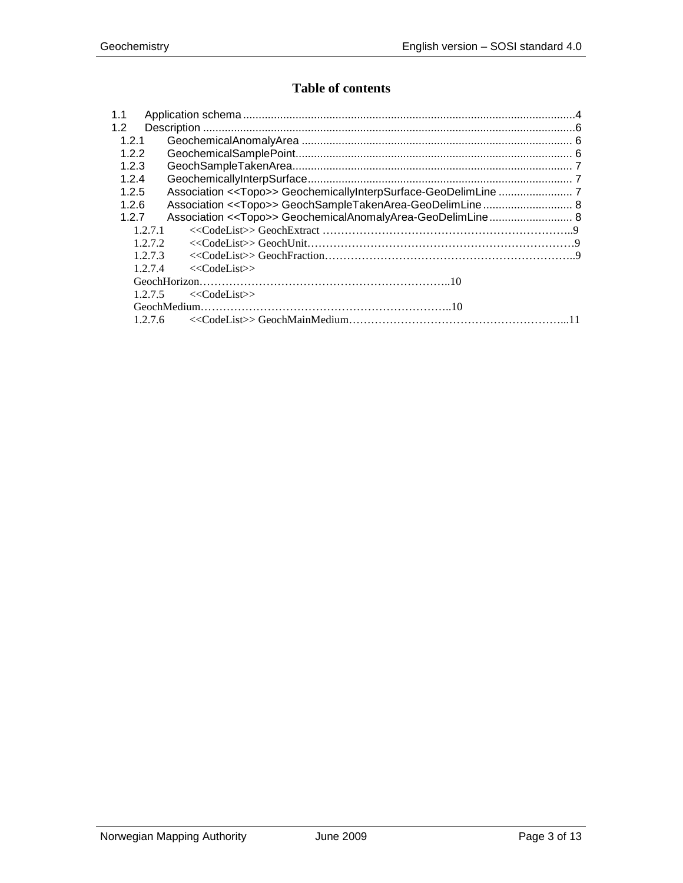# **Table of contents**

| 1.1     |                    |  |
|---------|--------------------|--|
| 1.2     |                    |  |
| 121     |                    |  |
| 1.2.2   |                    |  |
| 1.2.3   |                    |  |
| 1.2.4   |                    |  |
| 1.2.5   |                    |  |
| 1.2.6   |                    |  |
| 1.2.7   |                    |  |
| 1.2.7.1 |                    |  |
| 1272    |                    |  |
| 1273    |                    |  |
| 1.2.7.4 | $<<$ CodeList $>>$ |  |
|         |                    |  |
| 1.2.7.5 | $<<$ CodeList $>>$ |  |
|         |                    |  |
| 1.2.7.6 |                    |  |
|         |                    |  |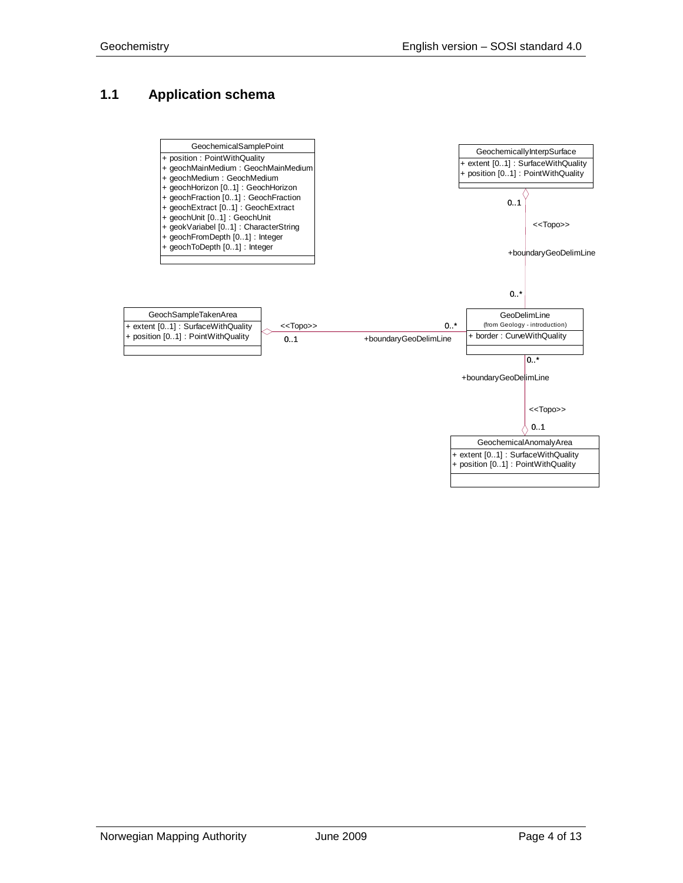## <span id="page-3-0"></span>**1.1 Application schema**

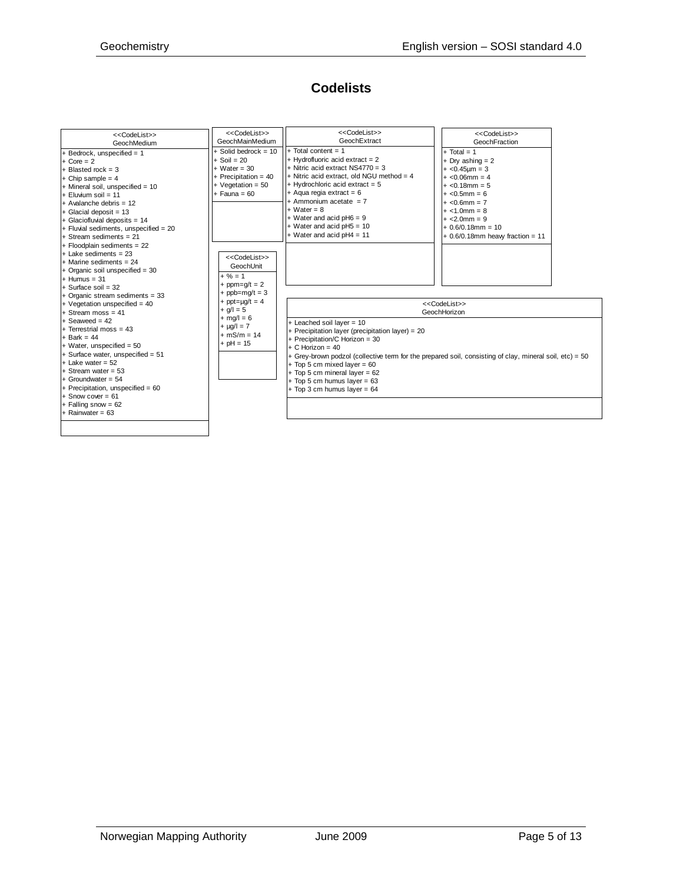# **Codelists**

| < <codelist>&gt;<br/>GeochMedium</codelist>                                                                                                                                                                                                                                               | < <codelist>&gt;<br/>GeochMainMedium</codelist>                                                                                 | < <codelist>&gt;<br/>GeochExtract</codelist>                                                                                                                                                                                                                                                                                                              | < <codelist>&gt;<br/>GeochFraction</codelist>                                                                                                                                                                |
|-------------------------------------------------------------------------------------------------------------------------------------------------------------------------------------------------------------------------------------------------------------------------------------------|---------------------------------------------------------------------------------------------------------------------------------|-----------------------------------------------------------------------------------------------------------------------------------------------------------------------------------------------------------------------------------------------------------------------------------------------------------------------------------------------------------|--------------------------------------------------------------------------------------------------------------------------------------------------------------------------------------------------------------|
| + Bedrock, unspecified = 1<br>$+ Core = 2$<br>$+$ Blasted rock = 3<br>$+$ Chip sample = 4<br>+ Mineral soil, unspecified = 10<br>$+$ Eluvium soil = 11<br>+ Avalanche debris = $12$<br>$+$ Glacial deposit = 13<br>+ Glaciofluvial deposits = 14<br>+ Fluvial sediments, unspecified = 20 | $+$ Solid bedrock = 10<br>$+$ Soil = 20<br>$+ Water = 30$<br>$+$ Precipitation = 40<br>$+$ Vegetation = 50<br>$+$ Fauna = 60    | $+$ Total content = 1<br>$+$ Hydrofluoric acid extract = 2<br>$+$ Nitric acid extract NS4770 = 3<br>+ Nitric acid extract, old NGU method = 4<br>+ Hydrochloric acid extract = $5$<br>$+$ Aqua regia extract = 6<br>$+$ Ammonium acetate = 7<br>$+ Water = 8$<br>$+$ Water and acid pH6 = 9<br>$+$ Water and acid pH5 = 10<br>$+$ Water and acid pH4 = 11 | $+$ Total = 1<br>$+$ Dry ashing = 2<br>$+ < 0.45$ $\mu$ m = 3<br>$+ < 0.06$ mm = 4<br>$+$ < 0.18mm = 5<br>$+ < 0.5$ mm = 6<br>$+ < 0.6$ mm = 7<br>$+ < 1.0$ mm = 8<br>$+$ <2.0mm = 9<br>$+ 0.6/0.18$ mm = 10 |
| $+$ Stream sediments = 21<br>$+$ Floodplain sediments = 22<br>$+$ Lake sediments = 23<br>$+$ Marine sediments = 24<br>+ Organic soil unspecified = 30<br>$+$ Humus = 31<br>$+$ Surface soil = 32<br>+ Organic stream sediments = 33                                                       | < <codelist>&gt;<br/>GeochUnit<br/><math>+</math> % = 1<br/>+ <math>ppm=q/t = 2</math><br/>+ <math>ppb=mq/t=3</math></codelist> |                                                                                                                                                                                                                                                                                                                                                           | $+0.6/0.18$ mm heavy fraction = 11                                                                                                                                                                           |
| + Vegetation unspecified = $40$<br>$+$ Stream moss = 41                                                                                                                                                                                                                                   | + $ppt = \mu g/t = 4$<br>$+ q/l = 5$                                                                                            |                                                                                                                                                                                                                                                                                                                                                           | < <codelist>&gt;<br/>GeochHorizon</codelist>                                                                                                                                                                 |
| $+$ Seaweed = 42<br>$+$ Terrestrial moss = 43<br>$+$ Bark = 44<br>$+$ Water, unspecified = 50<br>+ Surface water, unspecified = 51<br>$+$ Lake water = 52<br>$+$ Stream water = 53<br>$+$ Groundwater = 54<br>+ Precipitation, unspecified = $60$<br>$+$ Snow cover = 61                  | $+$ mg/l = 6<br>$+$ ua/ $= 7$<br>$+ mS/m = 14$<br>+ $pH = 15$                                                                   | + Leached soil layer = 10<br>+ Precipitation layer (precipitation layer) = 20<br>+ Precipitation/C Horizon = 30<br>$+ C$ Horizon = 40<br>$+$ Top 5 cm mixed layer = 60<br>$+$ Top 5 cm mineral layer = 62<br>$+$ Top 5 cm humus layer = 63<br>$+$ Top 3 cm humus layer = 64                                                                               | + Grey-brown podzol (collective term for the prepared soil, consisting of clay, mineral soil, etc) = 50                                                                                                      |
| $+$ Falling snow = 62<br>$+$ Rainwater = 63                                                                                                                                                                                                                                               |                                                                                                                                 |                                                                                                                                                                                                                                                                                                                                                           |                                                                                                                                                                                                              |
|                                                                                                                                                                                                                                                                                           |                                                                                                                                 |                                                                                                                                                                                                                                                                                                                                                           |                                                                                                                                                                                                              |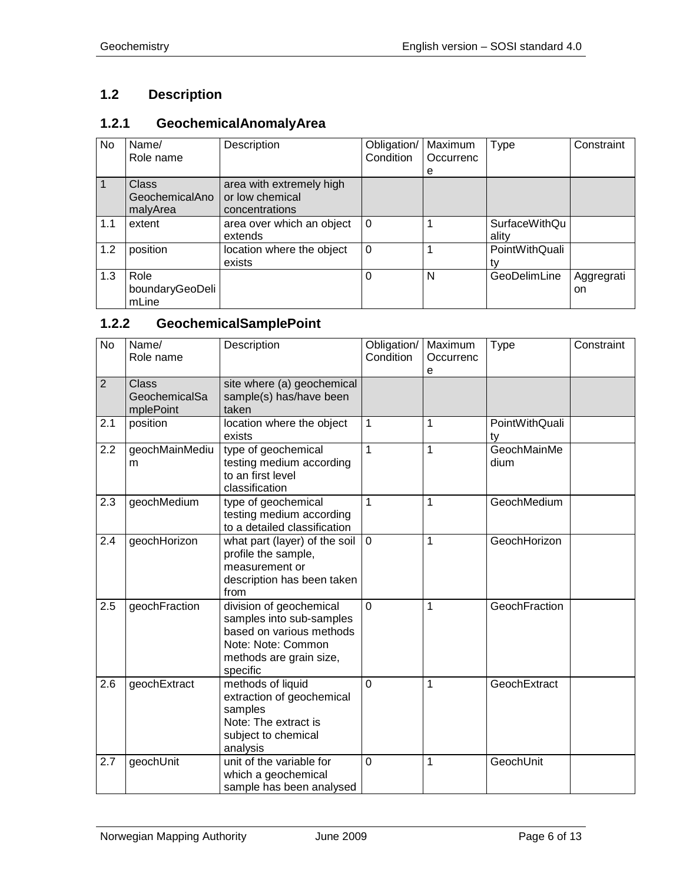# <span id="page-5-0"></span>**1.2 Description**

## <span id="page-5-1"></span>**1.2.1 GeochemicalAnomalyArea**

| No  | Name/<br>Role name                         | Description                                                   | Obligation/<br>Condition | Maximum<br>Occurrenc<br>e | <b>Type</b>                   | Constraint        |
|-----|--------------------------------------------|---------------------------------------------------------------|--------------------------|---------------------------|-------------------------------|-------------------|
|     | <b>Class</b><br>GeochemicalAno<br>malyArea | area with extremely high<br>or low chemical<br>concentrations |                          |                           |                               |                   |
| 1.1 | extent                                     | area over which an object<br>extends                          | $\Omega$                 |                           | <b>SurfaceWithQu</b><br>ality |                   |
| 1.2 | position                                   | location where the object<br>exists                           | $\Omega$                 |                           | PointWithQuali<br>tv          |                   |
| 1.3 | Role<br>boundaryGeoDeli<br>mLine           |                                                               | 0                        | N                         | GeoDelimLine                  | Aggregrati<br>on. |

# <span id="page-5-2"></span>**1.2.2 GeochemicalSamplePoint**

| <b>No</b>      | Name/<br>Role name                         | Description                                                                                                                                  | Obligation/<br>Condition | Maximum<br>Occurrenc<br>e | Type                 | Constraint |
|----------------|--------------------------------------------|----------------------------------------------------------------------------------------------------------------------------------------------|--------------------------|---------------------------|----------------------|------------|
| $\overline{2}$ | <b>Class</b><br>GeochemicalSa<br>mplePoint | site where (a) geochemical<br>sample(s) has/have been<br>taken                                                                               |                          |                           |                      |            |
| 2.1            | position                                   | location where the object<br>exists                                                                                                          | $\mathbf{1}$             | 1                         | PointWithQuali<br>ty |            |
| 2.2            | geochMainMediu<br>m                        | type of geochemical<br>testing medium according<br>to an first level<br>classification                                                       | $\mathbf{1}$             | $\mathbf{1}$              | GeochMainMe<br>dium  |            |
| 2.3            | geochMedium                                | type of geochemical<br>testing medium according<br>to a detailed classification                                                              | $\mathbf{1}$             | $\mathbf{1}$              | GeochMedium          |            |
| 2.4            | geochHorizon                               | what part (layer) of the soil<br>profile the sample,<br>measurement or<br>description has been taken<br>from                                 | $\mathbf 0$              | $\mathbf{1}$              | GeochHorizon         |            |
| 2.5            | geochFraction                              | division of geochemical<br>samples into sub-samples<br>based on various methods<br>Note: Note: Common<br>methods are grain size,<br>specific | $\overline{0}$           | $\overline{1}$            | GeochFraction        |            |
| 2.6            | geochExtract                               | methods of liquid<br>extraction of geochemical<br>samples<br>Note: The extract is<br>subject to chemical<br>analysis                         | $\Omega$                 | 1                         | GeochExtract         |            |
| 2.7            | geochUnit                                  | unit of the variable for<br>which a geochemical<br>sample has been analysed                                                                  | $\overline{0}$           | 1                         | GeochUnit            |            |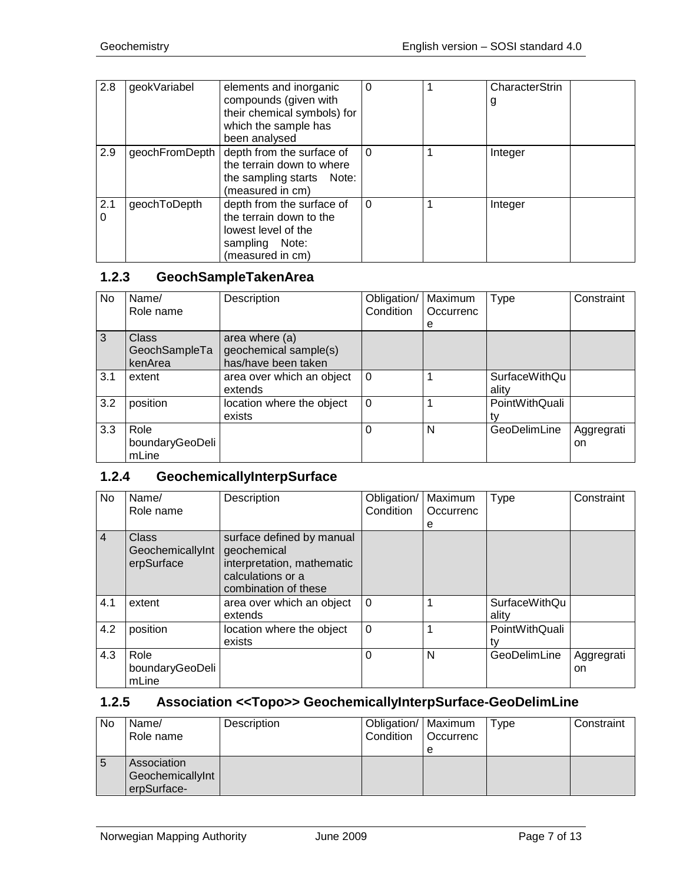| 2.8      | geokVariabel   | elements and inorganic<br>compounds (given with<br>their chemical symbols) for<br>which the sample has<br>been analysed | 0        | CharacterStrin<br>g |
|----------|----------------|-------------------------------------------------------------------------------------------------------------------------|----------|---------------------|
| 2.9      | geochFromDepth | depth from the surface of<br>the terrain down to where<br>the sampling starts Note:<br>(measured in cm)                 | $\Omega$ | Integer             |
| 2.1<br>0 | geochToDepth   | depth from the surface of<br>the terrain down to the<br>lowest level of the<br>sampling Note:<br>(measured in cm)       | $\Omega$ | Integer             |

#### <span id="page-6-0"></span>**1.2.3 GeochSampleTakenArea**

| No           | Name/<br>Role name                       | Description                                                    | Obligation/<br>Condition | Maximum<br>Occurrenc<br>e | <b>Type</b>                   | Constraint       |
|--------------|------------------------------------------|----------------------------------------------------------------|--------------------------|---------------------------|-------------------------------|------------------|
| $\mathbf{3}$ | <b>Class</b><br>GeochSampleTa<br>kenArea | area where (a)<br>geochemical sample(s)<br>has/have been taken |                          |                           |                               |                  |
| 3.1          | extent                                   | area over which an object<br>extends                           | $\Omega$                 |                           | <b>SurfaceWithQu</b><br>ality |                  |
| 3.2          | position                                 | location where the object<br>exists                            | $\Omega$                 |                           | PointWithQuali                |                  |
| 3.3          | Role<br>boundaryGeoDeli<br>mLine         |                                                                | 0                        | N                         | GeoDelimLine                  | Aggregrati<br>on |

# <span id="page-6-1"></span>**1.2.4 GeochemicallyInterpSurface**

| No             | Name/<br>Role name                      | Description                                                                                                         | Obligation/<br>Condition | Maximum<br>Occurrenc<br>е | Type                   | Constraint       |
|----------------|-----------------------------------------|---------------------------------------------------------------------------------------------------------------------|--------------------------|---------------------------|------------------------|------------------|
| $\overline{4}$ | Class<br>GeochemicallyInt<br>erpSurface | surface defined by manual<br>geochemical<br>interpretation, mathematic<br>calculations or a<br>combination of these |                          |                           |                        |                  |
| 4.1            | extent                                  | area over which an object<br>extends                                                                                | $\Omega$                 |                           | SurfaceWithQu<br>ality |                  |
| 4.2            | position                                | location where the object<br>exists                                                                                 | $\Omega$                 | 1                         | PointWithQuali<br>tv   |                  |
| 4.3            | Role<br>boundaryGeoDeli<br>mLine        |                                                                                                                     | $\Omega$                 | N                         | GeoDelimLine           | Aggregrati<br>on |

# <span id="page-6-2"></span>**1.2.5 Association <<Topo>> GeochemicallyInterpSurface-GeoDelimLine**

| No | Name/<br>Role name                             | Description | Obligation/   Maximum<br>Condition | Occurrenc<br>e | Type | Constraint |
|----|------------------------------------------------|-------------|------------------------------------|----------------|------|------------|
| C  | Association<br>GeochemicallyInt<br>erpSurface- |             |                                    |                |      |            |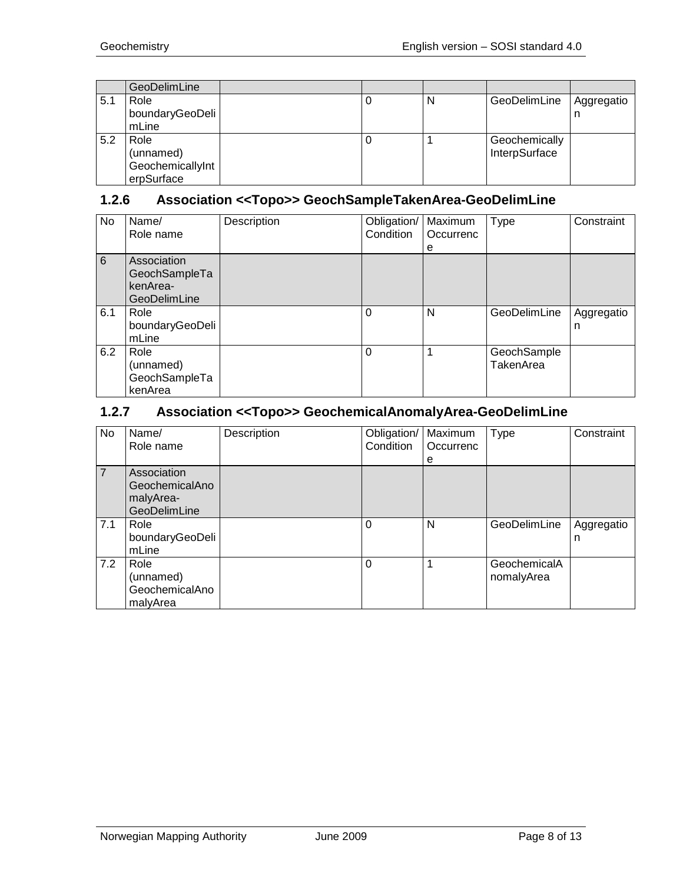|     | GeoDelimLine                                        |   |   |                                |                 |
|-----|-----------------------------------------------------|---|---|--------------------------------|-----------------|
| 5.1 | Role<br>boundaryGeoDeli<br>mLine                    | v | N | GeoDelimLine                   | Aggregatio<br>n |
| 5.2 | Role<br>(unnamed)<br>GeochemicallyInt<br>erpSurface | υ |   | Geochemically<br>InterpSurface |                 |

# <span id="page-7-0"></span>**1.2.6 Association <<Topo>> GeochSampleTakenArea-GeoDelimLine**

| No             | Name/<br>Role name                                       | Description | Obligation/<br>Condition | Maximum<br>Occurrenc<br>e | Type                     | Constraint      |
|----------------|----------------------------------------------------------|-------------|--------------------------|---------------------------|--------------------------|-----------------|
| $6\phantom{1}$ | Association<br>GeochSampleTa<br>kenArea-<br>GeoDelimLine |             |                          |                           |                          |                 |
| 6.1            | Role<br>boundaryGeoDeli<br>mLine                         |             | 0                        | N                         | GeoDelimLine             | Aggregatio<br>n |
| 6.2            | Role<br>(unnamed)<br>GeochSampleTa<br>kenArea            |             | 0                        |                           | GeochSample<br>TakenArea |                 |

## <span id="page-7-1"></span>**1.2.7 Association <<Topo>> GeochemicalAnomalyArea-GeoDelimLine**

| No  | Name/<br>Role name                                         | Description | Obligation/<br>Condition | Maximum<br>Occurrenc<br>е | <b>Type</b>                | Constraint      |
|-----|------------------------------------------------------------|-------------|--------------------------|---------------------------|----------------------------|-----------------|
|     | Association<br>GeochemicalAno<br>malyArea-<br>GeoDelimLine |             |                          |                           |                            |                 |
| 7.1 | Role<br>boundaryGeoDeli<br>mLine                           |             | 0                        | N                         | GeoDelimLine               | Aggregatio<br>n |
| 7.2 | Role<br>(unnamed)<br>GeochemicalAno<br>malyArea            |             | 0                        |                           | GeochemicalA<br>nomalyArea |                 |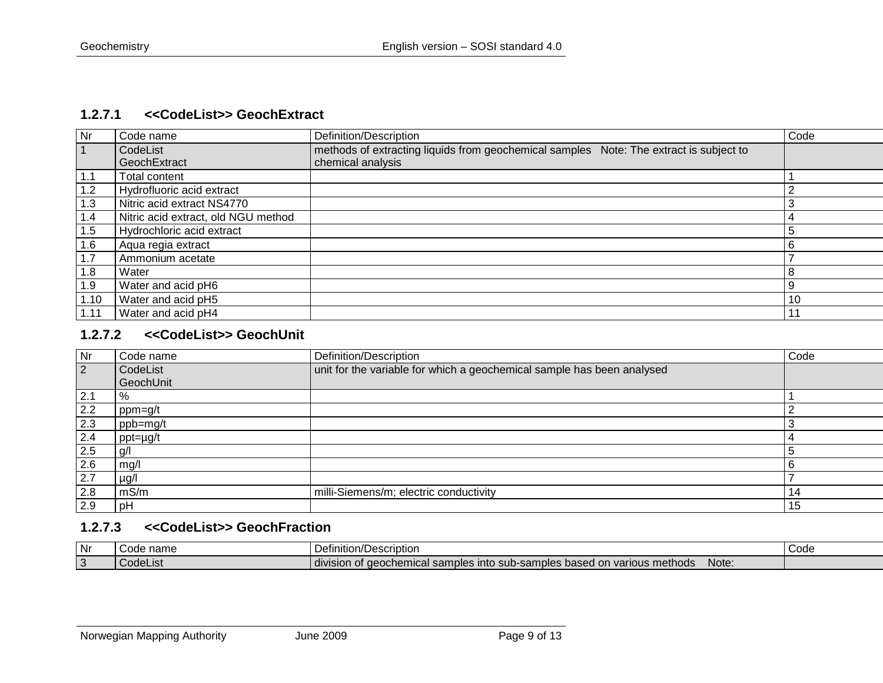#### **1.2.7.1 <<CodeList>> GeochExtract**

| Nr   | Code name                           | Definition/Description                                                                 | Code |
|------|-------------------------------------|----------------------------------------------------------------------------------------|------|
|      | CodeList                            | methods of extracting liquids from geochemical samples Note: The extract is subject to |      |
|      | GeochExtract                        | chemical analysis                                                                      |      |
| 1.1  | Total content                       |                                                                                        |      |
| 1.2  | Hydrofluoric acid extract           |                                                                                        |      |
| 1.3  | Nitric acid extract NS4770          |                                                                                        | ◠    |
| 1.4  | Nitric acid extract, old NGU method |                                                                                        |      |
| 1.5  | Hydrochloric acid extract           |                                                                                        | 5    |
| 1.6  | Aqua regia extract                  |                                                                                        |      |
| 1.7  | Ammonium acetate                    |                                                                                        |      |
| 1.8  | Water                               |                                                                                        | Ω    |
| 1.9  | Water and acid pH6                  |                                                                                        | c    |
| 1.10 | Water and acid pH5                  |                                                                                        | 10   |
| 1.11 | Water and acid pH4                  |                                                                                        |      |

#### <span id="page-8-0"></span>**1.2.7.2 <<CodeList>> GeochUnit**

| Nr        | Code name             | Definition/Description                                                 | Code |
|-----------|-----------------------|------------------------------------------------------------------------|------|
| $\vert$ 2 | CodeList<br>GeochUnit | unit for the variable for which a geochemical sample has been analysed |      |
| 2.1       | %                     |                                                                        |      |
| 2.2       | ppm=g/t               |                                                                        |      |
| 2.3       | $\mu$ ppb=mg/t        |                                                                        |      |
| 2.4       | ppt=µg/t              |                                                                        |      |
| 2.5       | g/l                   |                                                                        |      |
| 2.6       | mg/l                  |                                                                        |      |
| 2.7       | µg/l                  |                                                                        |      |
| 2.8       | mS/m                  | milli-Siemens/m; electric conductivity                                 | 14   |
| 2.9       | рH                    |                                                                        | 15   |

#### <span id="page-8-1"></span>**1.2.7.3 <<CodeList>> GeochFraction**

<span id="page-8-2"></span>

| Nr | name<br>∩⊿≏<br>. <del>. .</del> | Definition/Description                                                                            |       | Code |
|----|---------------------------------|---------------------------------------------------------------------------------------------------|-------|------|
|    | <sup>1</sup> CodeLis.           | .<br>s based on various methods<br>f geochemical samples into sub-samples l<br>division<br>n of i | Note: |      |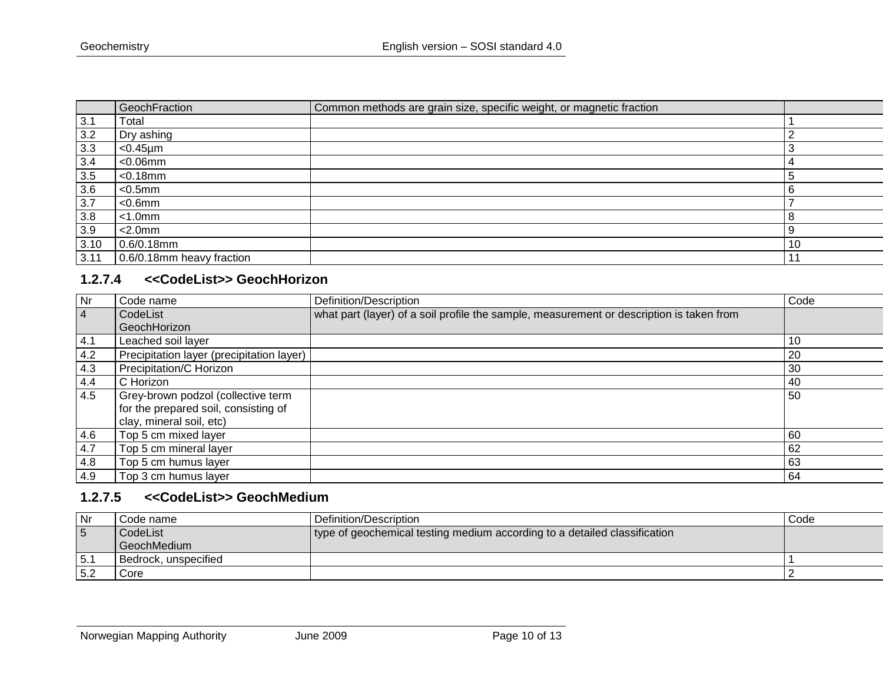|                  | GeochFraction             | Common methods are grain size, specific weight, or magnetic fraction |    |
|------------------|---------------------------|----------------------------------------------------------------------|----|
| 3.1              | Total                     |                                                                      |    |
| 3.2              | Dry ashing                |                                                                      |    |
| 3.3              | $<$ 0.45 $\mu$ m          |                                                                      | Э  |
| 3.4              | $<$ 0.06 $mm$             |                                                                      |    |
| 3.5              | $< 0.18$ mm               |                                                                      | c  |
| 3.6              | $< 0.5$ mm                |                                                                      | 6  |
| $\overline{3.7}$ | $<$ 0.6 $mm$              |                                                                      |    |
| 3.8              | $<$ 1.0 $mm$              |                                                                      | 8  |
| 3.9              | $<$ 2.0 $mm$              |                                                                      | 9  |
| 3.10             | $0.6/0.18$ mm             |                                                                      | 10 |
| 3.11             | 0.6/0.18mm heavy fraction |                                                                      |    |

### **1.2.7.4 <<CodeList>> GeochHorizon**

| Nr             | Code name                                 | Definition/Description                                                                   | Code |
|----------------|-------------------------------------------|------------------------------------------------------------------------------------------|------|
| $\overline{4}$ | CodeList                                  | what part (layer) of a soil profile the sample, measurement or description is taken from |      |
|                | GeochHorizon                              |                                                                                          |      |
| 4.1            | Leached soil layer                        |                                                                                          | 10   |
| 4.2            | Precipitation layer (precipitation layer) |                                                                                          | 20   |
| 4.3            | Precipitation/C Horizon                   |                                                                                          | 30   |
| 4.4            | C Horizon                                 |                                                                                          | 40   |
| 4.5            | Grey-brown podzol (collective term        |                                                                                          | 50   |
|                | for the prepared soil, consisting of      |                                                                                          |      |
|                | clay, mineral soil, etc)                  |                                                                                          |      |
| 4.6            | Top 5 cm mixed layer                      |                                                                                          | 60   |
| 4.7            | Top 5 cm mineral layer                    |                                                                                          | 62   |
| 4.8            | Top 5 cm humus layer                      |                                                                                          | 63   |
| 4.9            | Top 3 cm humus layer                      |                                                                                          | 64   |

# <span id="page-9-0"></span>**1.2.7.5 <<CodeList>> GeochMedium**

<span id="page-9-1"></span>

| Nr  | Code name:           | Definition/Description                                                    | Code |
|-----|----------------------|---------------------------------------------------------------------------|------|
| 5   | CodeList             | type of geochemical testing medium according to a detailed classification |      |
|     | l GeochMedium        |                                                                           |      |
| 5.1 | Bedrock, unspecified |                                                                           |      |
| 5.2 | Core                 |                                                                           |      |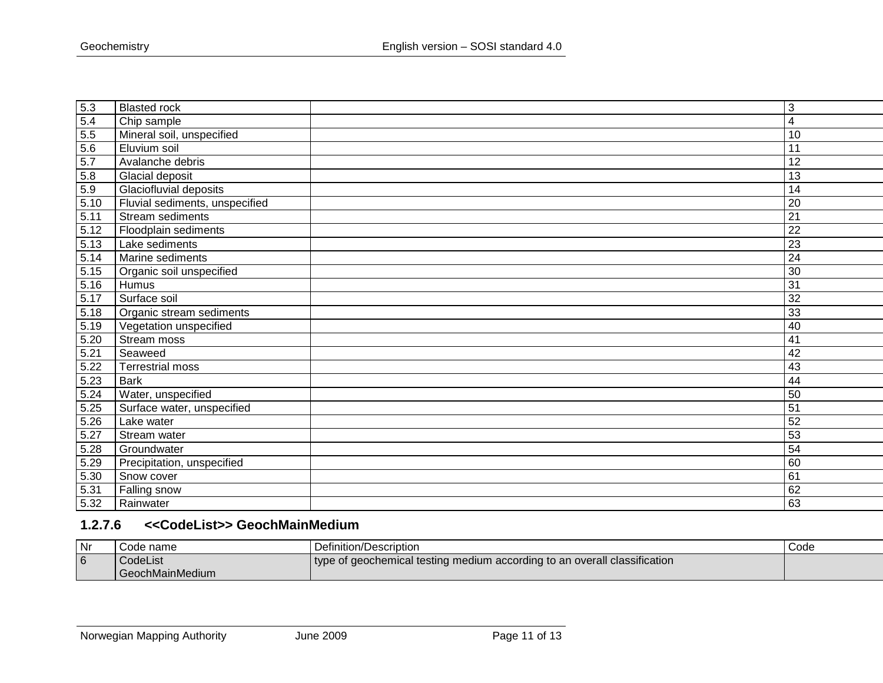| 5.3  | <b>Blasted rock</b>            | 3               |
|------|--------------------------------|-----------------|
| 5.4  | Chip sample                    | 4               |
| 5.5  | Mineral soil, unspecified      | 10              |
| 5.6  | Eluvium soil                   | 11              |
| 5.7  | Avalanche debris               | 12              |
| 5.8  | Glacial deposit                | $\overline{13}$ |
| 5.9  | Glaciofluvial deposits         | 14              |
| 5.10 | Fluvial sediments, unspecified | 20              |
| 5.11 | Stream sediments               | 21              |
| 5.12 | Floodplain sediments           | 22              |
| 5.13 | Lake sediments                 | 23              |
| 5.14 | Marine sediments               | 24              |
| 5.15 | Organic soil unspecified       | $\overline{30}$ |
| 5.16 | Humus                          | 31              |
| 5.17 | Surface soil                   | 32              |
| 5.18 | Organic stream sediments       | 33              |
| 5.19 | Vegetation unspecified         | 40              |
| 5.20 | Stream moss                    | 41              |
| 5.21 | Seaweed                        | 42              |
| 5.22 | <b>Terrestrial moss</b>        | 43              |
| 5.23 | <b>Bark</b>                    | 44              |
| 5.24 | Water, unspecified             | 50              |
| 5.25 | Surface water, unspecified     | 51              |
| 5.26 | Lake water                     | 52              |
| 5.27 | Stream water                   | $\overline{53}$ |
| 5.28 | Groundwater                    | 54              |
| 5.29 | Precipitation, unspecified     | 60              |
| 5.30 | Snow cover                     | 61              |
| 5.31 | Falling snow                   | 62              |
| 5.32 | Rainwater                      | 63              |

# **1.2.7.6 <<CodeList>> GeochMainMedium**

<span id="page-10-0"></span>

| Nr | Code name       | Definition/Description                                                       | Code |
|----|-----------------|------------------------------------------------------------------------------|------|
| 6  | I CodeList      | If type of geochemical testing medium according to an overall classification |      |
|    | GeochMainMedium |                                                                              |      |